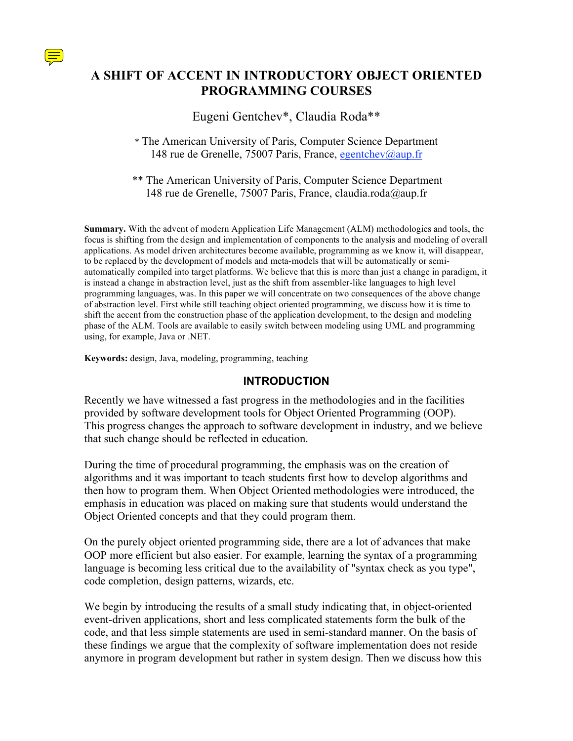

# **A SHIFT OF ACCENT IN INTRODUCTORY OBJECT ORIENTED PROGRAMMING COURSES**

## Eugeni Gentchev\*, Claudia Roda\*\*

\*\* The American University of Paris, Computer Science Department 148 rue de Grenelle, 75007 Paris, France, claudia.roda@aup.fr

**Summary.** With the advent of modern Application Life Management (ALM) methodologies and tools, the focus is shifting from the design and implementation of components to the analysis and modeling of overall applications. As model driven architectures become available, programming as we know it, will disappear, to be replaced by the development of models and meta-models that will be automatically or semiautomatically compiled into target platforms. We believe that this is more than just a change in paradigm, it is instead a change in abstraction level, just as the shift from assembler-like languages to high level programming languages, was. In this paper we will concentrate on two consequences of the above change of abstraction level. First while still teaching object oriented programming, we discuss how it is time to shift the accent from the construction phase of the application development, to the design and modeling phase of the ALM. Tools are available to easily switch between modeling using UML and programming using, for example, Java or .NET.

**Keywords:** design, Java, modeling, programming, teaching

### **INTRODUCTION**

Recently we have witnessed a fast progress in the methodologies and in the facilities provided by software development tools for Object Oriented Programming (OOP). This progress changes the approach to software development in industry, and we believe that such change should be reflected in education.

During the time of procedural programming, the emphasis was on the creation of algorithms and it was important to teach students first how to develop algorithms and then how to program them. When Object Oriented methodologies were introduced, the emphasis in education was placed on making sure that students would understand the Object Oriented concepts and that they could program them.

On the purely object oriented programming side, there are a lot of advances that make OOP more efficient but also easier. For example, learning the syntax of a programming language is becoming less critical due to the availability of "syntax check as you type", code completion, design patterns, wizards, etc.

We begin by introducing the results of a small study indicating that, in object-oriented event-driven applications, short and less complicated statements form the bulk of the code, and that less simple statements are used in semi-standard manner. On the basis of these findings we argue that the complexity of software implementation does not reside anymore in program development but rather in system design. Then we discuss how this

<sup>\*</sup> The American University of Paris, Computer Science Department 148 rue de Grenelle, 75007 Paris, France, egentchev@aup.fr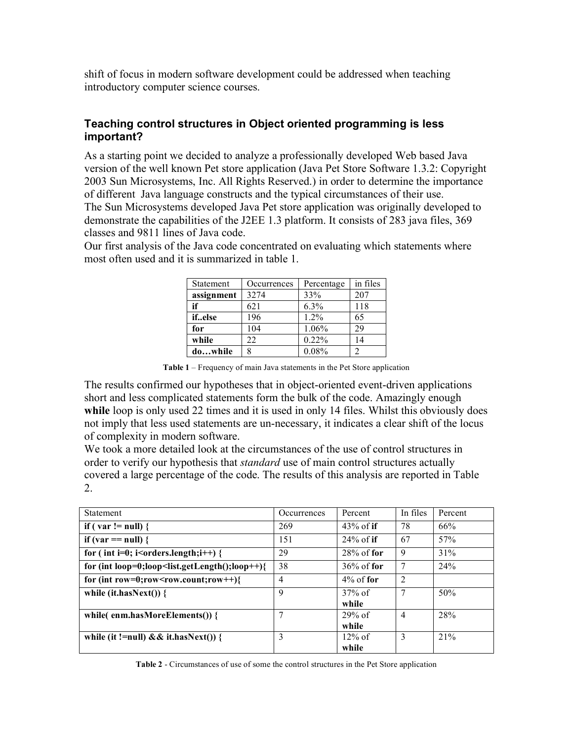shift of focus in modern software development could be addressed when teaching introductory computer science courses.

### **Teaching control structures in Object oriented programming is less important?**

As a starting point we decided to analyze a professionally developed Web based Java version of the well known Pet store application (Java Pet Store Software 1.3.2: Copyright 2003 Sun Microsystems, Inc. All Rights Reserved.) in order to determine the importance of different Java language constructs and the typical circumstances of their use. The Sun Microsystems developed Java Pet store application was originally developed to demonstrate the capabilities of the J2EE 1.3 platform. It consists of 283 java files, 369 classes and 9811 lines of Java code.

Our first analysis of the Java code concentrated on evaluating which statements where most often used and it is summarized in table 1.

| Statement  | Occurrences | Percentage | in files |
|------------|-------------|------------|----------|
| assignment | 3274        | 33%        | 207      |
| if         | 621         | $6.3\%$    | 118      |
| ifelse     | 196         | $1.2\%$    | 65       |
| for        | 104         | 1.06%      | 29       |
| while      | 22          | 0.22%      | 14       |
| dowhile    | 8           | 0.08%      | っ        |

**Table 1** – Frequency of main Java statements in the Pet Store application

The results confirmed our hypotheses that in object-oriented event-driven applications short and less complicated statements form the bulk of the code. Amazingly enough while loop is only used 22 times and it is used in only 14 files. Whilst this obviously does not imply that less used statements are un-necessary, it indicates a clear shift of the locus of complexity in modern software.

We took a more detailed look at the circumstances of the use of control structures in order to verify our hypothesis that *standard* use of main control structures actually covered a large percentage of the code. The results of this analysis are reported in Table 2.

| Statement                                                                                                                                               | Occurrences | Percent       | In files       | Percent |
|---------------------------------------------------------------------------------------------------------------------------------------------------------|-------------|---------------|----------------|---------|
| if ( var != null) {                                                                                                                                     | 269         | $43\%$ of if  | 78             | 66%     |
| if (var $==$ null) {                                                                                                                                    | 151         | $24\%$ of if  | 67             | 57%     |
| for (int i=0; i <orders.length;i++) th="" {<=""><th>29</th><th><math>28\%</math> of for</th><th>9</th><th>31%</th></orders.length;i++)>                 | 29          | $28\%$ of for | 9              | 31%     |
| for (int loop=0;loop <list.getlength();loop++){< th=""><th>38</th><th><math>36\%</math> of for</th><th>7</th><th>24%</th></list.getlength();loop++){<>  | 38          | $36\%$ of for | 7              | 24%     |
| for (int row=0;row <row.count;row++){< td=""><td>4</td><td><math>4\%</math> of for</td><td><math>\overline{2}</math></td><td></td></row.count;row++){<> | 4           | $4\%$ of for  | $\overline{2}$ |         |
| while (it.hasNext()) $\{$                                                                                                                               | 9           | $37\%$ of     |                | 50%     |
|                                                                                                                                                         |             | while         |                |         |
| while(enm.hasMoreElements()) {                                                                                                                          | 7           | $29\%$ of     | $\overline{4}$ | 28%     |
|                                                                                                                                                         |             | while         |                |         |
| while (it !=null) && it.hasNext()) {                                                                                                                    | 3           | $12\%$ of     | 3              | 21%     |
|                                                                                                                                                         |             | while         |                |         |

**Table 2** - Circumstances of use of some the control structures in the Pet Store application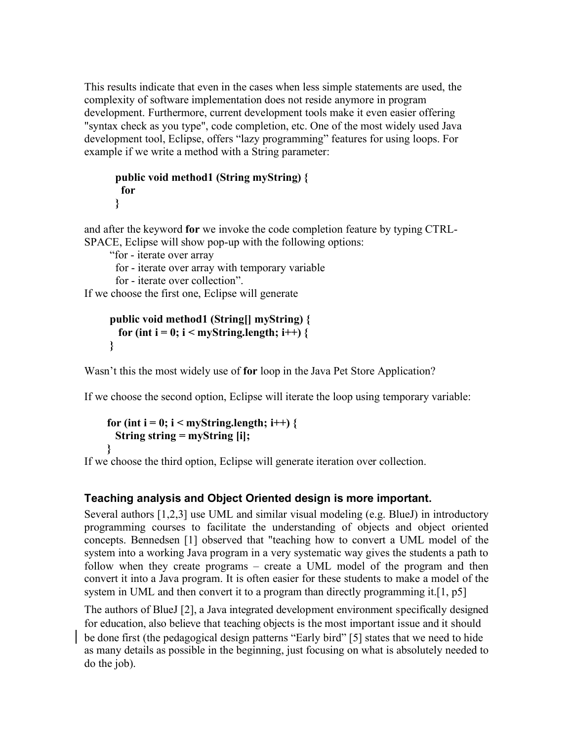This results indicate that even in the cases when less simple statements are used, the complexity of software implementation does not reside anymore in program development. Furthermore, current development tools make it even easier offering "syntax check as you type", code completion, etc. One of the most widely used Java development tool, Eclipse, offers "lazy programming" features for using loops. For example if we write a method with a String parameter:

```
public void method1 (String myString) {
 for
}
```
and after the keyword **for** we invoke the code completion feature by typing CTRL-SPACE, Eclipse will show pop-up with the following options:

"for - iterate over array

for - iterate over array with temporary variable

for - iterate over collection".

If we choose the first one, Eclipse will generate

```
public void method1 (String[] myString) {
 for (int i = 0; i < myString.length; i++) {
}
```
Wasn't this the most widely use of **for** loop in the Java Pet Store Application?

If we choose the second option, Eclipse will iterate the loop using temporary variable:

```
for (int i = 0; i < myString.length; i++) {
 String string = myString [i];
}
```
If we choose the third option, Eclipse will generate iteration over collection.

# **Teaching analysis and Object Oriented design is more important.**

Several authors [1,2,3] use UML and similar visual modeling (e.g. BlueJ) in introductory programming courses to facilitate the understanding of objects and object oriented concepts. Bennedsen [1] observed that "teaching how to convert a UML model of the system into a working Java program in a very systematic way gives the students a path to follow when they create programs – create a UML model of the program and then convert it into a Java program. It is often easier for these students to make a model of the system in UML and then convert it to a program than directly programming it.[1, p5]

The authors of BlueJ [2], a Java integrated development environment specifically designed for education, also believe that teaching objects is the most important issue and it should be done first (the pedagogical design patterns "Early bird" [5] states that we need to hide as many details as possible in the beginning, just focusing on what is absolutely needed to do the job).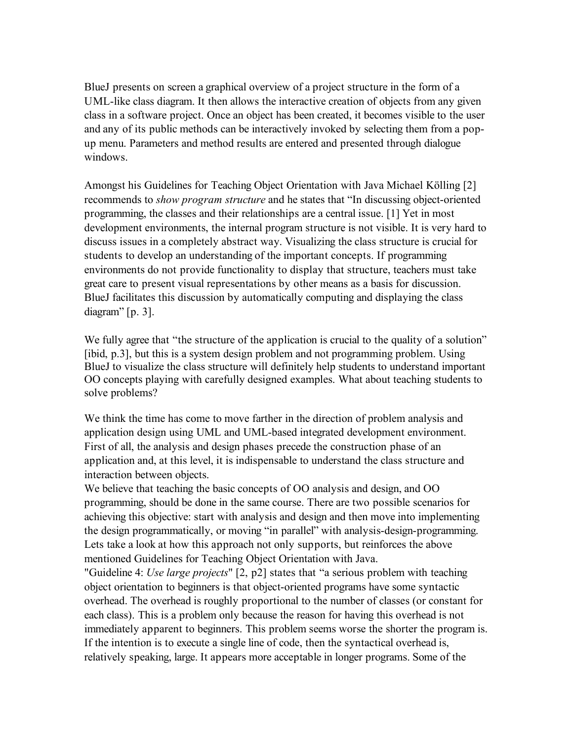BlueJ presents on screen a graphical overview of a project structure in the form of a UML-like class diagram. It then allows the interactive creation of objects from any given class in a software project. Once an object has been created, it becomes visible to the user and any of its public methods can be interactively invoked by selecting them from a popup menu. Parameters and method results are entered and presented through dialogue windows.

Amongst his Guidelines for Teaching Object Orientation with Java Michael Kölling [2] recommends to *show program structure* and he states that "In discussing object-oriented programming, the classes and their relationships are a central issue. [1] Yet in most development environments, the internal program structure is not visible. It is very hard to discuss issues in a completely abstract way. Visualizing the class structure is crucial for students to develop an understanding of the important concepts. If programming environments do not provide functionality to display that structure, teachers must take great care to present visual representations by other means as a basis for discussion. BlueJ facilitates this discussion by automatically computing and displaying the class diagram" [p. 3].

We fully agree that "the structure of the application is crucial to the quality of a solution" [ibid, p.3], but this is a system design problem and not programming problem. Using BlueJ to visualize the class structure will definitely help students to understand important OO concepts playing with carefully designed examples. What about teaching students to solve problems?

We think the time has come to move farther in the direction of problem analysis and application design using UML and UML-based integrated development environment. First of all, the analysis and design phases precede the construction phase of an application and, at this level, it is indispensable to understand the class structure and interaction between objects.

We believe that teaching the basic concepts of OO analysis and design, and OO programming, should be done in the same course. There are two possible scenarios for achieving this objective: start with analysis and design and then move into implementing the design programmatically, or moving "in parallel" with analysis-design-programming. Lets take a look at how this approach not only supports, but reinforces the above mentioned Guidelines for Teaching Object Orientation with Java.

"Guideline 4: *Use large projects*" [2, p2] states that "a serious problem with teaching object orientation to beginners is that object-oriented programs have some syntactic overhead. The overhead is roughly proportional to the number of classes (or constant for each class). This is a problem only because the reason for having this overhead is not immediately apparent to beginners. This problem seems worse the shorter the program is. If the intention is to execute a single line of code, then the syntactical overhead is, relatively speaking, large. It appears more acceptable in longer programs. Some of the